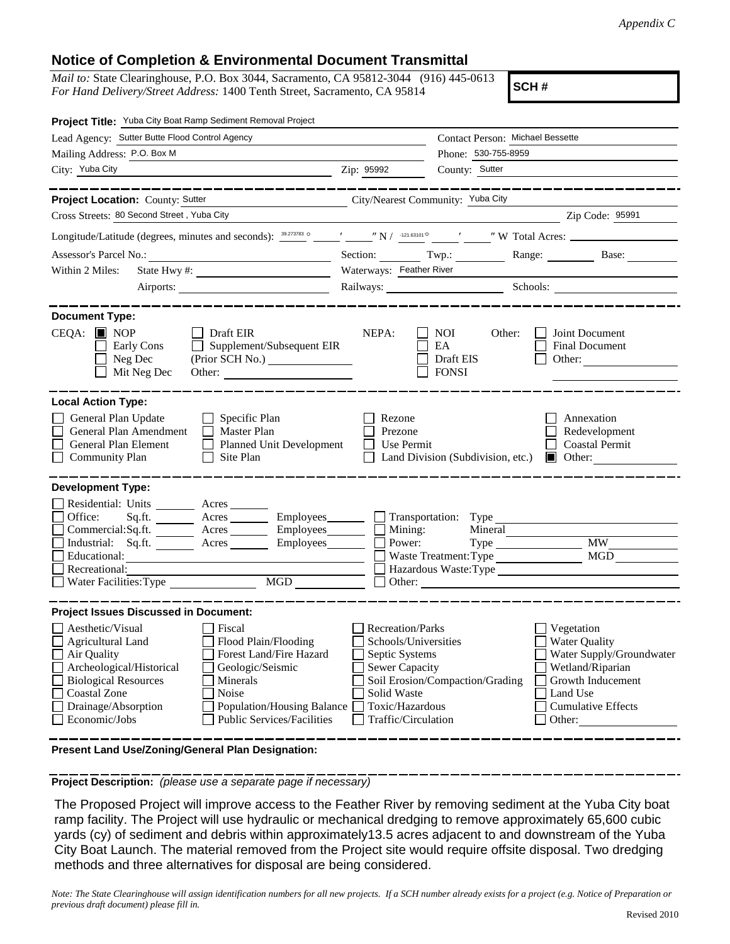## **Notice of Completion & Environmental Document Transmittal**

*Mail to:* State Clearinghouse, P.O. Box 3044, Sacramento, CA 95812-3044 (916) 445-0613 *For Hand Delivery/Street Address:* 1400 Tenth Street, Sacramento, CA 95814

**SCH #**

| Project Title: Yuba City Boat Ramp Sediment Removal Project                                                                                                                                                                                                                                                                                                                       |                                                                                                                                       |                                                          |                                                                                                                                                            |
|-----------------------------------------------------------------------------------------------------------------------------------------------------------------------------------------------------------------------------------------------------------------------------------------------------------------------------------------------------------------------------------|---------------------------------------------------------------------------------------------------------------------------------------|----------------------------------------------------------|------------------------------------------------------------------------------------------------------------------------------------------------------------|
| Lead Agency: Sutter Butte Flood Control Agency                                                                                                                                                                                                                                                                                                                                    |                                                                                                                                       | Contact Person: Michael Bessette                         |                                                                                                                                                            |
| Mailing Address: P.O. Box M                                                                                                                                                                                                                                                                                                                                                       |                                                                                                                                       | Phone: 530-755-8959                                      |                                                                                                                                                            |
| City: Yuba City<br><u> 1989 - Johann Stoff, amerikansk politiker (d. 1989)</u>                                                                                                                                                                                                                                                                                                    | County: Sutter<br>Zip: 95992                                                                                                          |                                                          |                                                                                                                                                            |
| _______________                                                                                                                                                                                                                                                                                                                                                                   |                                                                                                                                       |                                                          | -----------------                                                                                                                                          |
| City/Nearest Community: Yuba City<br>Project Location: County: Sutter                                                                                                                                                                                                                                                                                                             |                                                                                                                                       |                                                          |                                                                                                                                                            |
| Cross Streets: 80 Second Street, Yuba City                                                                                                                                                                                                                                                                                                                                        |                                                                                                                                       |                                                          | Zip Code: 95991                                                                                                                                            |
|                                                                                                                                                                                                                                                                                                                                                                                   |                                                                                                                                       |                                                          |                                                                                                                                                            |
|                                                                                                                                                                                                                                                                                                                                                                                   | Section: Twp.:                                                                                                                        |                                                          | Range: Base:                                                                                                                                               |
| Within 2 Miles:                                                                                                                                                                                                                                                                                                                                                                   | Waterways: Feather River                                                                                                              |                                                          |                                                                                                                                                            |
|                                                                                                                                                                                                                                                                                                                                                                                   | Railways: Schools: Schools:                                                                                                           |                                                          |                                                                                                                                                            |
| <b>Document Type:</b><br>$CEQA:$ MOP<br>$\Box$ Draft EIR<br>Supplement/Subsequent EIR<br>Early Cons<br>$\mathbf{1}$<br>Neg Dec<br>(Prior SCH No.)<br>$\Box$<br>Mit Neg Dec<br>Other:                                                                                                                                                                                              | NEPA:                                                                                                                                 | <b>NOI</b><br>Other:<br>EA<br>Draft EIS<br><b>FONSI</b>  | Joint Document<br><b>Final Document</b><br>Other: $\qquad \qquad$                                                                                          |
| <b>Local Action Type:</b>                                                                                                                                                                                                                                                                                                                                                         |                                                                                                                                       |                                                          |                                                                                                                                                            |
| General Plan Update<br>$\Box$ Specific Plan<br>General Plan Amendment<br>$\Box$ Master Plan<br>General Plan Element<br>Planned Unit Development<br><b>Community Plan</b><br>$\Box$ Site Plan                                                                                                                                                                                      | Rezone<br>Prezone<br>Use Permit<br>Land Division (Subdivision, etc.)                                                                  |                                                          | Annexation<br>Redevelopment<br><b>Coastal Permit</b><br>$\blacksquare$ Other:                                                                              |
| <b>Development Type:</b><br>Residential: Units _________ Acres _______<br>Office:<br>Sq.ft. ________ Acres _________ Employees _______ __ Transportation: Type<br>Commercial:Sq.ft. ________ Acres ________ Employees________ $\Box$<br>Industrial: Sq.ft.<br>Acres<br>Employees_________<br>Educational:<br>Recreational:<br>$\underbrace{\hbox{MGD}}$<br>Water Facilities: Type | Mining:<br>Power:                                                                                                                     | Mineral<br>Waste Treatment: Type<br>$\Box$ Other: $\Box$ | $\overline{\text{MW}}$<br><b>MGD</b><br>Hazardous Waste: Type                                                                                              |
| <b>Project Issues Discussed in Document:</b>                                                                                                                                                                                                                                                                                                                                      |                                                                                                                                       |                                                          |                                                                                                                                                            |
| Aesthetic/Visual<br>  Fiscal<br>Flood Plain/Flooding<br>Agricultural Land<br>Forest Land/Fire Hazard<br>Air Quality<br>Archeological/Historical<br>Geologic/Seismic<br><b>Biological Resources</b><br>Minerals<br><b>Coastal Zone</b><br>Noise<br>Drainage/Absorption<br>Population/Housing Balance<br>Economic/Jobs<br><b>Public Services/Facilities</b>                         | Recreation/Parks<br>Schools/Universities<br>Septic Systems<br>Sewer Capacity<br>Solid Waste<br>Toxic/Hazardous<br>Traffic/Circulation | Soil Erosion/Compaction/Grading                          | Vegetation<br><b>Water Quality</b><br>Water Supply/Groundwater<br>Wetland/Riparian<br>Growth Inducement<br>Land Use<br><b>Cumulative Effects</b><br>Other: |

**Present Land Use/Zoning/General Plan Designation:**

**Project Description:** *(please use a separate page if necessary)*

 The Proposed Project will improve access to the Feather River by removing sediment at the Yuba City boat ramp facility. The Project will use hydraulic or mechanical dredging to remove approximately 65,600 cubic yards (cy) of sediment and debris within approximately13.5 acres adjacent to and downstream of the Yuba City Boat Launch. The material removed from the Project site would require offsite disposal. Two dredging methods and three alternatives for disposal are being considered.

*Note: The State Clearinghouse will assign identification numbers for all new projects. If a SCH number already exists for a project (e.g. Notice of Preparation or previous draft document) please fill in.*